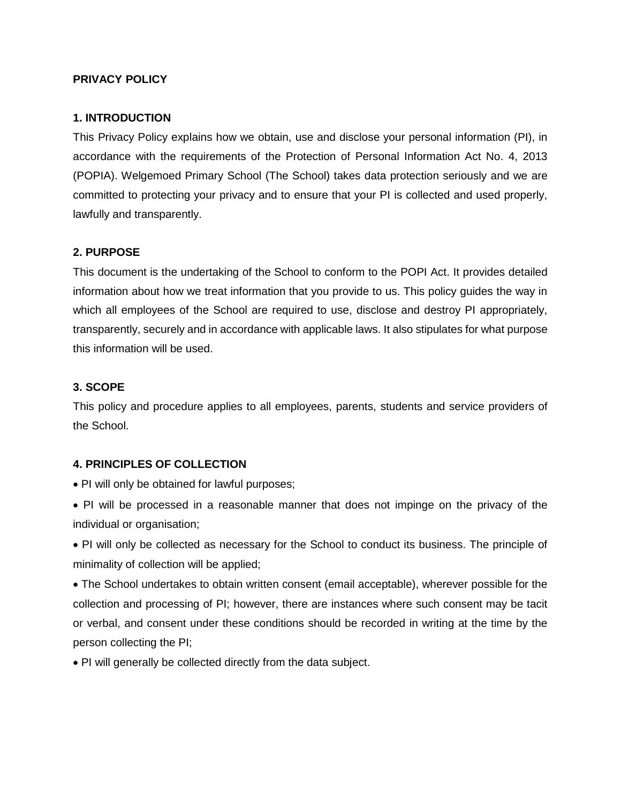## **PRIVACY POLICY**

## **1. INTRODUCTION**

This Privacy Policy explains how we obtain, use and disclose your personal information (PI), in accordance with the requirements of the Protection of Personal Information Act No. 4, 2013 (POPIA). Welgemoed Primary School (The School) takes data protection seriously and we are committed to protecting your privacy and to ensure that your PI is collected and used properly, lawfully and transparently.

## **2. PURPOSE**

This document is the undertaking of the School to conform to the POPI Act. It provides detailed information about how we treat information that you provide to us. This policy guides the way in which all employees of the School are required to use, disclose and destroy PI appropriately, transparently, securely and in accordance with applicable laws. It also stipulates for what purpose this information will be used.

## **3. SCOPE**

This policy and procedure applies to all employees, parents, students and service providers of the School.

#### **4. PRINCIPLES OF COLLECTION**

- PI will only be obtained for lawful purposes;
- PI will be processed in a reasonable manner that does not impinge on the privacy of the individual or organisation;
- PI will only be collected as necessary for the School to conduct its business. The principle of minimality of collection will be applied;

 The School undertakes to obtain written consent (email acceptable), wherever possible for the collection and processing of PI; however, there are instances where such consent may be tacit or verbal, and consent under these conditions should be recorded in writing at the time by the person collecting the PI;

PI will generally be collected directly from the data subject.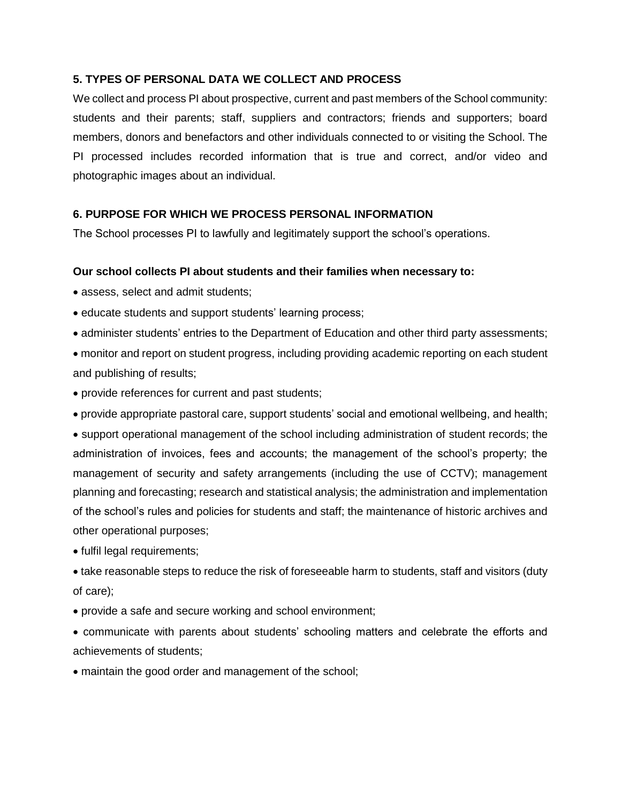## **5. TYPES OF PERSONAL DATA WE COLLECT AND PROCESS**

We collect and process PI about prospective, current and past members of the School community: students and their parents; staff, suppliers and contractors; friends and supporters; board members, donors and benefactors and other individuals connected to or visiting the School. The PI processed includes recorded information that is true and correct, and/or video and photographic images about an individual.

# **6. PURPOSE FOR WHICH WE PROCESS PERSONAL INFORMATION**

The School processes PI to lawfully and legitimately support the school's operations.

#### **Our school collects PI about students and their families when necessary to:**

- assess, select and admit students:
- educate students and support students' learning process;
- administer students' entries to the Department of Education and other third party assessments;
- monitor and report on student progress, including providing academic reporting on each student and publishing of results;
- provide references for current and past students;
- provide appropriate pastoral care, support students' social and emotional wellbeing, and health;

 support operational management of the school including administration of student records; the administration of invoices, fees and accounts; the management of the school's property; the management of security and safety arrangements (including the use of CCTV); management planning and forecasting; research and statistical analysis; the administration and implementation of the school's rules and policies for students and staff; the maintenance of historic archives and other operational purposes;

• fulfil legal requirements;

 take reasonable steps to reduce the risk of foreseeable harm to students, staff and visitors (duty of care);

provide a safe and secure working and school environment;

 communicate with parents about students' schooling matters and celebrate the efforts and achievements of students;

maintain the good order and management of the school;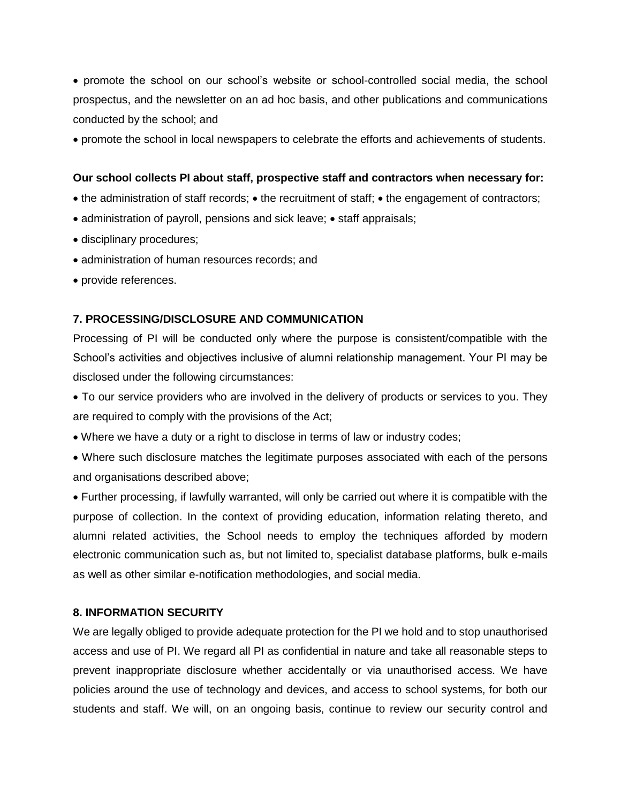promote the school on our school's website or school-controlled social media, the school prospectus, and the newsletter on an ad hoc basis, and other publications and communications conducted by the school; and

promote the school in local newspapers to celebrate the efforts and achievements of students.

## **Our school collects PI about staff, prospective staff and contractors when necessary for:**

- the administration of staff records; the recruitment of staff; the engagement of contractors;
- $\bullet$  administration of payroll, pensions and sick leave;  $\bullet$  staff appraisals;
- disciplinary procedures;
- administration of human resources records; and
- provide references.

#### **7. PROCESSING/DISCLOSURE AND COMMUNICATION**

Processing of PI will be conducted only where the purpose is consistent/compatible with the School's activities and objectives inclusive of alumni relationship management. Your PI may be disclosed under the following circumstances:

 To our service providers who are involved in the delivery of products or services to you. They are required to comply with the provisions of the Act;

Where we have a duty or a right to disclose in terms of law or industry codes;

 Where such disclosure matches the legitimate purposes associated with each of the persons and organisations described above;

 Further processing, if lawfully warranted, will only be carried out where it is compatible with the purpose of collection. In the context of providing education, information relating thereto, and alumni related activities, the School needs to employ the techniques afforded by modern electronic communication such as, but not limited to, specialist database platforms, bulk e-mails as well as other similar e-notification methodologies, and social media.

#### **8. INFORMATION SECURITY**

We are legally obliged to provide adequate protection for the PI we hold and to stop unauthorised access and use of PI. We regard all PI as confidential in nature and take all reasonable steps to prevent inappropriate disclosure whether accidentally or via unauthorised access. We have policies around the use of technology and devices, and access to school systems, for both our students and staff. We will, on an ongoing basis, continue to review our security control and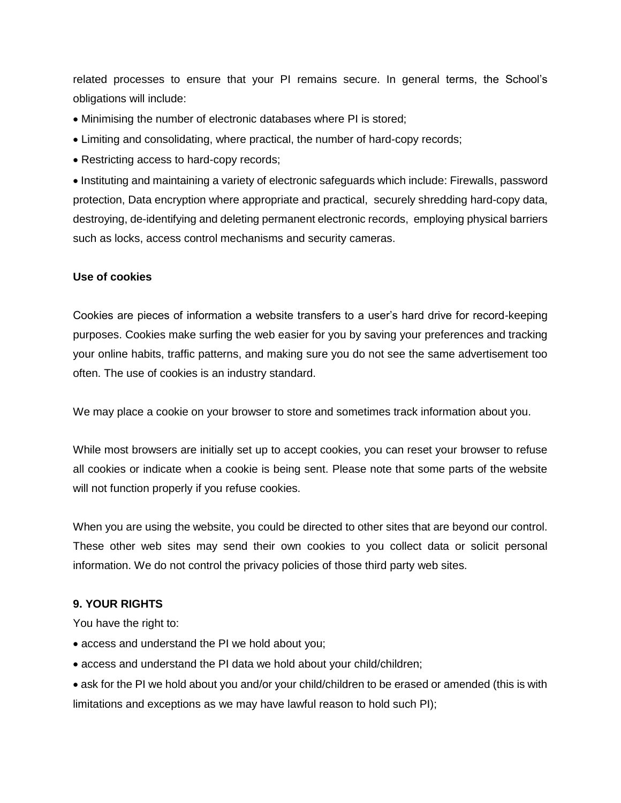related processes to ensure that your PI remains secure. In general terms, the School's obligations will include:

- Minimising the number of electronic databases where PI is stored;
- Limiting and consolidating, where practical, the number of hard-copy records;
- Restricting access to hard-copy records;

 Instituting and maintaining a variety of electronic safeguards which include: Firewalls, password protection, Data encryption where appropriate and practical, securely shredding hard-copy data, destroying, de-identifying and deleting permanent electronic records, employing physical barriers such as locks, access control mechanisms and security cameras.

# **Use of cookies**

Cookies are pieces of information a website transfers to a user's hard drive for record-keeping purposes. Cookies make surfing the web easier for you by saving your preferences and tracking your online habits, traffic patterns, and making sure you do not see the same advertisement too often. The use of cookies is an industry standard.

We may place a cookie on your browser to store and sometimes track information about you.

While most browsers are initially set up to accept cookies, you can reset your browser to refuse all cookies or indicate when a cookie is being sent. Please note that some parts of the website will not function properly if you refuse cookies.

When you are using the website, you could be directed to other sites that are beyond our control. These other web sites may send their own cookies to you collect data or solicit personal information. We do not control the privacy policies of those third party web sites.

# **9. YOUR RIGHTS**

You have the right to:

- access and understand the PI we hold about you;
- access and understand the PI data we hold about your child/children;
- ask for the PI we hold about you and/or your child/children to be erased or amended (this is with limitations and exceptions as we may have lawful reason to hold such PI);